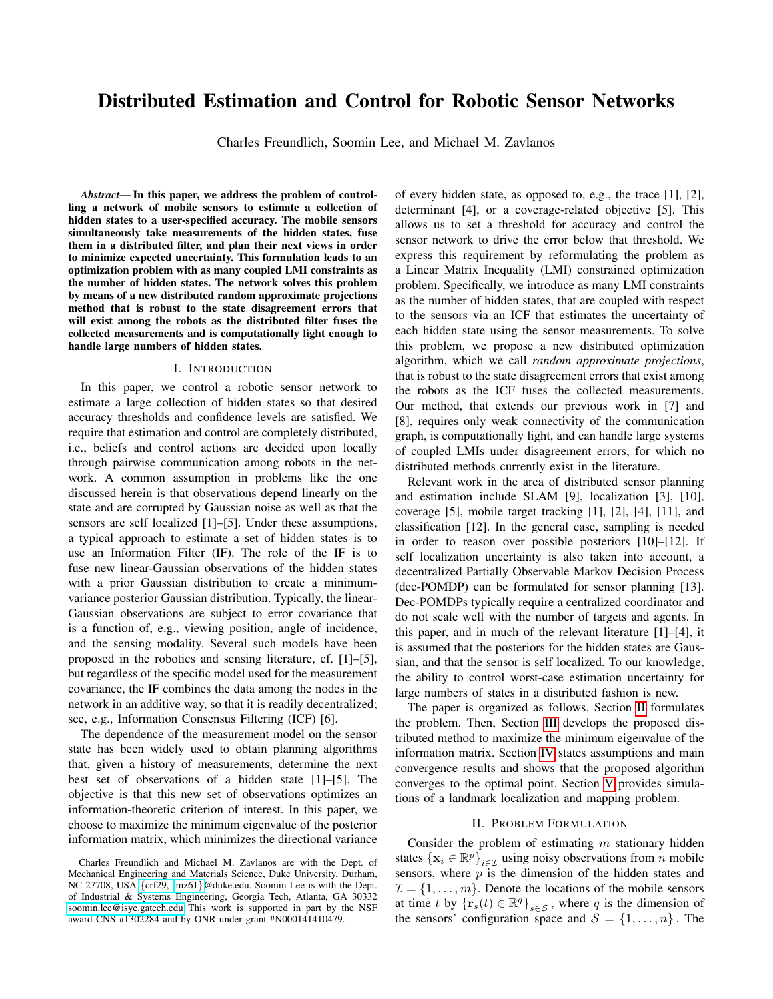# Distributed Estimation and Control for Robotic Sensor Networks

Charles Freundlich, Soomin Lee, and Michael M. Zavlanos

*Abstract*— In this paper, we address the problem of controlling a network of mobile sensors to estimate a collection of hidden states to a user-specified accuracy. The mobile sensors simultaneously take measurements of the hidden states, fuse them in a distributed filter, and plan their next views in order to minimize expected uncertainty. This formulation leads to an optimization problem with as many coupled LMI constraints as the number of hidden states. The network solves this problem by means of a new distributed random approximate projections method that is robust to the state disagreement errors that will exist among the robots as the distributed filter fuses the collected measurements and is computationally light enough to handle large numbers of hidden states.

#### I. INTRODUCTION

In this paper, we control a robotic sensor network to estimate a large collection of hidden states so that desired accuracy thresholds and confidence levels are satisfied. We require that estimation and control are completely distributed, i.e., beliefs and control actions are decided upon locally through pairwise communication among robots in the network. A common assumption in problems like the one discussed herein is that observations depend linearly on the state and are corrupted by Gaussian noise as well as that the sensors are self localized [1]–[5]. Under these assumptions, a typical approach to estimate a set of hidden states is to use an Information Filter (IF). The role of the IF is to fuse new linear-Gaussian observations of the hidden states with a prior Gaussian distribution to create a minimumvariance posterior Gaussian distribution. Typically, the linear-Gaussian observations are subject to error covariance that is a function of, e.g., viewing position, angle of incidence, and the sensing modality. Several such models have been proposed in the robotics and sensing literature, cf. [1]–[5], but regardless of the specific model used for the measurement covariance, the IF combines the data among the nodes in the network in an additive way, so that it is readily decentralized; see, e.g., Information Consensus Filtering (ICF) [6].

The dependence of the measurement model on the sensor state has been widely used to obtain planning algorithms that, given a history of measurements, determine the next best set of observations of a hidden state [1]–[5]. The objective is that this new set of observations optimizes an information-theoretic criterion of interest. In this paper, we choose to maximize the minimum eigenvalue of the posterior information matrix, which minimizes the directional variance

of every hidden state, as opposed to, e.g., the trace [1], [2], determinant [4], or a coverage-related objective [5]. This allows us to set a threshold for accuracy and control the sensor network to drive the error below that threshold. We express this requirement by reformulating the problem as a Linear Matrix Inequality (LMI) constrained optimization problem. Specifically, we introduce as many LMI constraints as the number of hidden states, that are coupled with respect to the sensors via an ICF that estimates the uncertainty of each hidden state using the sensor measurements. To solve this problem, we propose a new distributed optimization algorithm, which we call *random approximate projections*, that is robust to the state disagreement errors that exist among the robots as the ICF fuses the collected measurements. Our method, that extends our previous work in [7] and [8], requires only weak connectivity of the communication graph, is computationally light, and can handle large systems of coupled LMIs under disagreement errors, for which no distributed methods currently exist in the literature.

Relevant work in the area of distributed sensor planning and estimation include SLAM [9], localization [3], [10], coverage [5], mobile target tracking [1], [2], [4], [11], and classification [12]. In the general case, sampling is needed in order to reason over possible posteriors [10]–[12]. If self localization uncertainty is also taken into account, a decentralized Partially Observable Markov Decision Process (dec-POMDP) can be formulated for sensor planning [13]. Dec-POMDPs typically require a centralized coordinator and do not scale well with the number of targets and agents. In this paper, and in much of the relevant literature [1]–[4], it is assumed that the posteriors for the hidden states are Gaussian, and that the sensor is self localized. To our knowledge, the ability to control worst-case estimation uncertainty for large numbers of states in a distributed fashion is new.

The paper is organized as follows. Section [II](#page-0-0) formulates the problem. Then, Section [III](#page-1-0) develops the proposed distributed method to maximize the minimum eigenvalue of the information matrix. Section [IV](#page-2-0) states assumptions and main convergence results and shows that the proposed algorithm converges to the optimal point. Section [V](#page-4-0) provides simulations of a landmark localization and mapping problem.

#### II. PROBLEM FORMULATION

<span id="page-0-0"></span>Consider the problem of estimating  $m$  stationary hidden states  $\{x_i \in \mathbb{R}^p\}_{i \in \mathcal{I}}$  using noisy observations from *n* mobile sensors, where  $p$  is the dimension of the hidden states and  $\mathcal{I} = \{1, \ldots, m\}$ . Denote the locations of the mobile sensors at time t by  $\{r_s(t) \in \mathbb{R}^q\}_{s \in S}$ , where q is the dimension of the sensors' configuration space and  $S = \{1, \ldots, n\}$ . The

Charles Freundlich and Michael M. Zavlanos are with the Dept. of Mechanical Engineering and Materials Science, Duke University, Durham, NC 27708, USA {[crf29,](mailto:crf29@duke.edu) [mz61](mailto:mz61@duke.edu)}@duke.edu. Soomin Lee is with the Dept. of Industrial & Systems Engineering, Georgia Tech, Atlanta, GA 30332 [soomin.lee@isye.gatech.edu](mailto:soomin.lee@isye.gatech.edu) This work is supported in part by the NSF award CNS #1302284 and by ONR under grant #N000141410479.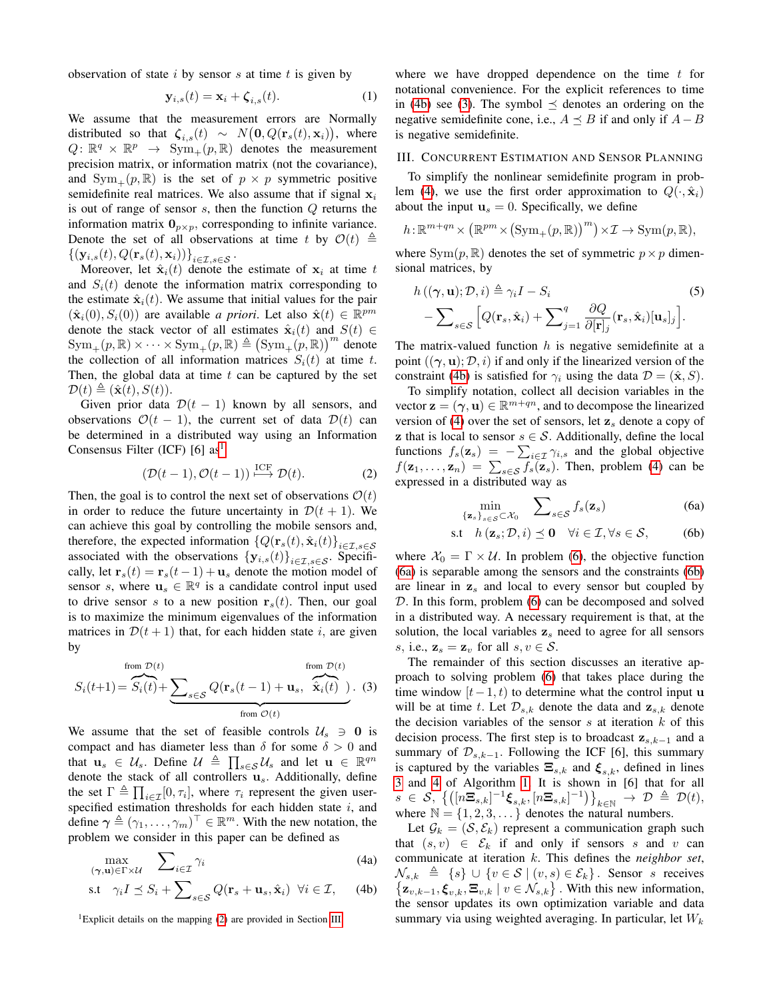observation of state  $i$  by sensor  $s$  at time  $t$  is given by

$$
\mathbf{y}_{i,s}(t) = \mathbf{x}_i + \boldsymbol{\zeta}_{i,s}(t). \tag{1}
$$

We assume that the measurement errors are Normally distributed so that  $\zeta_{i,s}(t) \sim N(\mathbf{0}, Q(\mathbf{r}_s(t), \mathbf{x}_i)),$  where  $Q: \mathbb{R}^q \times \mathbb{R}^p \rightarrow \text{Sym}_+(p, \mathbb{R})$  denotes the measurement precision matrix, or information matrix (not the covariance), and  $Sym_+(p, \mathbb{R})$  is the set of  $p \times p$  symmetric positive semidefinite real matrices. We also assume that if signal  $x_i$ is out of range of sensor  $s$ , then the function  $Q$  returns the information matrix  $\mathbf{0}_{p \times p}$ , corresponding to infinite variance. Denote the set of all observations at time t by  $\mathcal{O}(t) \triangleq$  $\left\{\left(\mathbf{y}_{i,s}(t), Q(\mathbf{r}_s(t), \mathbf{x}_i)\right)\right\}_{i\in\mathcal{I}, s\in\mathcal{S}}$  .

Moreover, let  $\hat{\mathbf{x}}_i(t)$  denote the estimate of  $\mathbf{x}_i$  at time t and  $S_i(t)$  denote the information matrix corresponding to the estimate  $\hat{\mathbf{x}}_i(t)$ . We assume that initial values for the pair  $(\hat{\mathbf{x}}_i(0), S_i(0))$  are available *a priori*. Let also  $\hat{\mathbf{x}}(t) \in \mathbb{R}^{pm}$ denote the stack vector of all estimates  $\hat{\mathbf{x}}_i(t)$  and  $S(t) \in$  $\mathrm{Sym}_+(p,\mathbb{R})\times\cdots\times \mathrm{Sym}_+(p,\mathbb{R})\triangleq \big(\mathrm{Sym}_+(p,\mathbb{R})\big)^m$  denote the collection of all information matrices  $S_i(t)$  at time t. Then, the global data at time  $t$  can be captured by the set  $\mathcal{D}(t) \triangleq (\hat{\mathbf{x}}(t), S(t)).$ 

Given prior data  $\mathcal{D}(t-1)$  known by all sensors, and observations  $\mathcal{O}(t-1)$ , the current set of data  $\mathcal{D}(t)$  can be determined in a distributed way using an Information Consensus Filter (ICF) [6]  $as<sup>1</sup>$  $as<sup>1</sup>$  $as<sup>1</sup>$ 

<span id="page-1-2"></span>
$$
(\mathcal{D}(t-1), \mathcal{O}(t-1)) \stackrel{\text{ICF}}{\longrightarrow} \mathcal{D}(t). \tag{2}
$$

Then, the goal is to control the next set of observations  $\mathcal{O}(t)$ in order to reduce the future uncertainty in  $\mathcal{D}(t + 1)$ . We can achieve this goal by controlling the mobile sensors and, therefore, the expected information  $\{Q(\mathbf{r}_s(t), \hat{\mathbf{x}}_i(t)\}_{i \in \mathcal{I}, s \in \mathcal{S}}$ associated with the observations  ${\bf y}_{i,s}(t){\bf }$ <sub>i∈I,s∈S</sub>. Specifically, let  $\mathbf{r}_s(t) = \mathbf{r}_s(t-1) + \mathbf{u}_s$  denote the motion model of sensor s, where  $\mathbf{u}_s \in \mathbb{R}^q$  is a candidate control input used to drive sensor s to a new position  $r_s(t)$ . Then, our goal is to maximize the minimum eigenvalues of the information matrices in  $\mathcal{D}(t+1)$  that, for each hidden state i, are given by

<span id="page-1-4"></span>from 
$$
\mathcal{D}(t)
$$
  
\n
$$
S_i(t+1) = \overbrace{S_i(t)}^{from \mathcal{D}(t)} + \underbrace{\sum_{s \in \mathcal{S}} Q(\mathbf{r}_s(t-1) + \mathbf{u}_s, \overbrace{\hat{\mathbf{x}}_i(t)}^{from \mathcal{D}(t)})}_{from \mathcal{O}(t)}.
$$
 (3)

We assume that the set of feasible controls  $U_s \ni 0$  is compact and has diameter less than  $\delta$  for some  $\delta > 0$  and that  $\mathbf{u}_s \in \mathcal{U}_s$ . Define  $\mathcal{U} \triangleq \prod_{s \in \mathcal{S}} \mathcal{U}_s$  and let  $\mathbf{u} \in \mathbb{R}^{qn}$ denote the stack of all controllers  $\mathbf{u}_s$ . Additionally, define the set  $\Gamma \triangleq \prod_{i \in \mathcal{I}} [0, \tau_i]$ , where  $\tau_i$  represent the given userspecified estimation thresholds for each hidden state  $i$ , and define  $\boldsymbol{\gamma} \triangleq (\gamma_1, \dots, \gamma_m)^\top \in \mathbb{R}^m$ . With the new notation, the problem we consider in this paper can be defined as

$$
\max_{(\gamma, \mathbf{u}) \in \Gamma \times \mathcal{U}} \quad \sum_{i \in \mathcal{I}} \gamma_i \tag{4a}
$$

$$
\text{s.t} \quad \gamma_i I \preceq S_i + \sum_{s \in \mathcal{S}} Q(\mathbf{r}_s + \mathbf{u}_s, \hat{\mathbf{x}}_i) \ \ \forall i \in \mathcal{I}, \qquad \text{(4b)}
$$

<span id="page-1-1"></span><sup>1</sup>Explicit details on the mapping  $(2)$  are provided in Section [III.](#page-1-0)

where we have dropped dependence on the time  $t$  for notational convenience. For the explicit references to time in [\(4b\)](#page-1-3) see [\(3\)](#page-1-4). The symbol  $\preceq$  denotes an ordering on the negative semidefinite cone, i.e.,  $A \preceq B$  if and only if  $A - B$ is negative semidefinite.

## <span id="page-1-0"></span>III. CONCURRENT ESTIMATION AND SENSOR PLANNING

To simplify the nonlinear semidefinite program in prob-lem [\(4\)](#page-1-5), we use the first order approximation to  $Q(\cdot, \hat{x}_i)$ about the input  $\mathbf{u}_s = 0$ . Specifically, we define

$$
h: \mathbb{R}^{m+qn} \times (\mathbb{R}^{pm} \times (\mathrm{Sym}_+(p, \mathbb{R}))^{m}) \times \mathcal{I} \to \mathrm{Sym}(p, \mathbb{R}),
$$

where  $Sym(p, \mathbb{R})$  denotes the set of symmetric  $p \times p$  dimensional matrices, by

$$
h((\gamma, \mathbf{u}); \mathcal{D}, i) \triangleq \gamma_i I - S_i
$$
\n
$$
-\sum_{s \in \mathcal{S}} \left[ Q(\mathbf{r}_s, \hat{\mathbf{x}}_i) + \sum_{j=1}^q \frac{\partial Q}{\partial [\mathbf{r}]_j} (\mathbf{r}_s, \hat{\mathbf{x}}_i) [\mathbf{u}_s]_j \right].
$$
\n(5)

The matrix-valued function  $h$  is negative semidefinite at a point  $((\gamma, \mathbf{u}); \mathcal{D}, i)$  if and only if the linearized version of the constraint [\(4b\)](#page-1-3) is satisfied for  $\gamma_i$  using the data  $\mathcal{D} = (\hat{\mathbf{x}}, S)$ .

To simplify notation, collect all decision variables in the vector  $\mathbf{z} = (\gamma, \mathbf{u}) \in \mathbb{R}^{m+qn}$ , and to decompose the linearized version of [\(4\)](#page-1-5) over the set of sensors, let  $z<sub>s</sub>$  denote a copy of **z** that is local to sensor  $s \in S$ . Additionally, define the local functions  $f_s(\mathbf{z}_s) = -\sum_{i \in \mathcal{I}} \gamma_{i,s}$  and the global objective  $f(\mathbf{z}_1, \dots, \mathbf{z}_n) = \sum_{s \in \mathcal{S}} f_s(\mathbf{z}_s)$ . Then, problem [\(4\)](#page-1-5) can be expressed in a distributed way as

<span id="page-1-8"></span><span id="page-1-7"></span><span id="page-1-6"></span>
$$
\min_{\{\mathbf{z}_s\}_{s\in\mathcal{S}}\subset\mathcal{X}_0} \quad \sum_{s\in\mathcal{S}} f_s(\mathbf{z}_s) \tag{6a}
$$

$$
\text{s.t} \quad h\left(\mathbf{z}_s; \mathcal{D}, i\right) \preceq \mathbf{0} \quad \forall i \in \mathcal{I}, \forall s \in \mathcal{S}, \tag{6b}
$$

where  $\mathcal{X}_0 = \Gamma \times \mathcal{U}$ . In problem [\(6\)](#page-1-6), the objective function [\(6a\)](#page-1-7) is separable among the sensors and the constraints [\(6b\)](#page-1-8) are linear in  $z<sub>s</sub>$  and local to every sensor but coupled by D. In this form, problem [\(6\)](#page-1-6) can be decomposed and solved in a distributed way. A necessary requirement is that, at the solution, the local variables  $z<sub>s</sub>$  need to agree for all sensors s, i.e.,  $\mathbf{z}_s = \mathbf{z}_v$  for all  $s, v \in \mathcal{S}$ .

The remainder of this section discusses an iterative approach to solving problem [\(6\)](#page-1-6) that takes place during the time window  $[t-1, t)$  to determine what the control input u will be at time t. Let  $\mathcal{D}_{s,k}$  denote the data and  $\mathbf{z}_{s,k}$  denote the decision variables of the sensor  $s$  at iteration  $k$  of this decision process. The first step is to broadcast  $z_{s,k-1}$  and a summary of  $\mathcal{D}_{s,k-1}$ . Following the ICF [6], this summary is captured by the variables  $\Xi_{s,k}$  and  $\xi_{s,k}$ , defined in lines [3](#page-2-1) and [4](#page-2-2) of Algorithm [1.](#page-2-3) It is shown in [6] that for all  $s\ \in\ \mathcal{S},\ \left\{\left(\left[n\Xi_{s,k}\right]^{-1}\boldsymbol{\xi}_{s,k},\left[n\Xi_{s,k}\right]^{-1}\right)\right\}_{k\in\mathbb{N}}\ \rightarrow\ \mathcal{D}\ \triangleq\ \mathcal{D}(t),$ where  $\mathbb{N} = \{1, 2, 3, \dots\}$  denotes the natural numbers.

<span id="page-1-5"></span><span id="page-1-3"></span>Let  $\mathcal{G}_k = (\mathcal{S}, \mathcal{E}_k)$  represent a communication graph such that  $(s, v) \in \mathcal{E}_k$  if and only if sensors s and v can communicate at iteration k. This defines the *neighbor set*,  $\mathcal{N}_{s,k} \triangleq \{s\} \cup \{v \in \mathcal{S} \mid (v,s) \in \mathcal{E}_k\}.$  Sensor s receives  $\{z_{v,k-1}, \xi_{v,k}, \Xi_{v,k} \mid v \in \mathcal{N}_{s,k}\}\.$  With this new information, the sensor updates its own optimization variable and data summary via using weighted averaging. In particular, let  $W_k$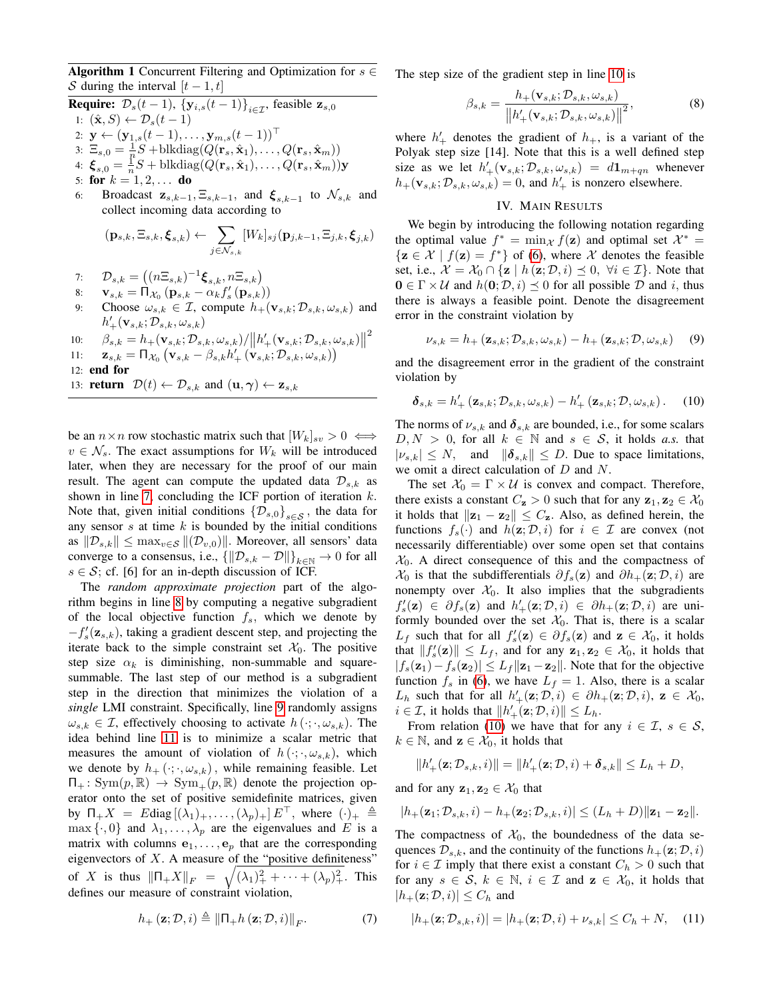<span id="page-2-3"></span>Algorithm 1 Concurrent Filtering and Optimization for  $s \in$ S during the interval  $[t - 1, t]$ 

**Require:**  $\mathcal{D}_s(t-1)$ ,  $\{y_{i,s}(t-1)\}_{i\in\mathcal{T}}$ , feasible  $\mathbf{z}_{s,0}$ 1:  $(\hat{\mathbf{x}}, S) \leftarrow \mathcal{D}_s(t-1)$ 2:  $\mathbf{y} \leftarrow (\mathbf{y}_{1,s}(t-1), \ldots, \mathbf{y}_{m,s}(t-1))^\top$ 3:  $\Xi_{s,0} = \frac{1}{n}S + \text{blkdiag}(Q(\mathbf{r}_s, \hat{\mathbf{x}}_1), \dots, Q(\mathbf{r}_s, \hat{\mathbf{x}}_m))$ 4:  $\boldsymbol{\xi}_{s,0} = \frac{1}{n}S + \text{blkdiag}(Q(\mathbf{r}_s, \hat{\mathbf{x}}_1), \dots, Q(\mathbf{r}_s, \hat{\mathbf{x}}_m))\mathbf{y}$ 5: for  $k = 1, 2, ...$  do 6: Broadcast  $\mathbf{z}_{s,k-1}, \Xi_{s,k-1}$ , and  $\xi_{s,k-1}$  to  $\mathcal{N}_{s,k}$  and collect incoming data according to  $({\bf{p}}_{s,k},\Xi_{s,k},\boldsymbol{\xi}_{s,k}) \leftarrow{} \;\; \sum \;$  $\Xi_{i,k}, \boldsymbol{\xi}_{j,k})$ 

<span id="page-2-13"></span><span id="page-2-4"></span>
$$
(\mathbf{p}_{s,k},\Xi_{s,k},\boldsymbol{\xi}_{s,k}) \leftarrow \sum_{j\in\mathcal{N}_{s,k}} [W_k]_{sj}(\mathbf{p}_{j,k-1},\Xi_{j,k},\boldsymbol{\xi}_j,
$$

- 7:  $\mathcal{D}_{s,k} = ((n\Xi_{s,k})^{-1}\boldsymbol{\xi}_{s,k}, n\Xi_{s,k})$
- 8:  $\mathbf{v}_{s,k} = \Pi_{\mathcal{X}_0} (\mathbf{p}_{s,k} \alpha_k f_s'(\mathbf{p}_{s,k}))$
- <span id="page-2-8"></span>9: Choose  $\omega_{s,k} \in \mathcal{I}$ , compute  $h_+(\mathbf{v}_{s,k}; \mathcal{D}_{s,k}, \omega_{s,k})$  and  $h'_+({\bf v}_{s,k};\mathcal{D}_{s,k},\omega_{s,k})$

10: 
$$
\beta_{s,k} = h_{+}(\mathbf{v}_{s,k}; \mathcal{D}_{s,k}, \omega_{s,k}) / ||h'_{+}(\mathbf{v}_{s,k}; \mathcal{D}_{s,k}, \omega_{s,k})||^{2}
$$
  
11: 
$$
\mathbf{z}_{s,k} = \Pi_{\mathcal{X}_{0}} (\mathbf{v}_{s,k} - \beta_{s,k} h'_{+} (\mathbf{v}_{s,k}; \mathcal{D}_{s,k}, \omega_{s,k}))
$$

11: 
$$
\mathbf{z}_{s,k} = \Pi_{\mathcal{X}_0} \left( \mathbf{v}_{s,k} - \beta_{s,k} h'_+ \left( \mathbf{v}_{s,k}; \mathcal{D}_{s,k}, \omega_{s,k} \right) \right)
$$

12: end for

13: **return**  $\mathcal{D}(t) \leftarrow \mathcal{D}_{s,k}$  and  $(\mathbf{u}, \boldsymbol{\gamma}) \leftarrow \mathbf{z}_{s,k}$ 

be an  $n \times n$  row stochastic matrix such that  $[W_k]_{sv} > 0 \iff$  $v \in \mathcal{N}_s$ . The exact assumptions for  $W_k$  will be introduced later, when they are necessary for the proof of our main result. The agent can compute the updated data  $\mathcal{D}_{s,k}$  as shown in line [7,](#page-2-4) concluding the ICF portion of iteration  $k$ . Note that, given initial conditions  $\{\mathcal{D}_{s,0}\}_{s\in\mathcal{S}}$ , the data for any sensor  $s$  at time  $k$  is bounded by the initial conditions as  $\|\mathcal{D}_{s,k}\| \leq \max_{v \in \mathcal{S}} \|(\mathcal{D}_{v,0})\|$ . Moreover, all sensors' data converge to a consensus, i.e.,  $\{\|\mathcal{D}_{s,k} - \mathcal{D}\|\}_{k\in\mathbb{N}} \to 0$  for all  $s \in S$ ; cf. [6] for an in-depth discussion of ICF.

The *random approximate projection* part of the algorithm begins in line [8](#page-2-5) by computing a negative subgradient of the local objective function  $f_s$ , which we denote by  $-f'_{s}(\mathbf{z}_{s,k})$ , taking a gradient descent step, and projecting the iterate back to the simple constraint set  $\mathcal{X}_0$ . The positive step size  $\alpha_k$  is diminishing, non-summable and squaresummable. The last step of our method is a subgradient step in the direction that minimizes the violation of a *single* LMI constraint. Specifically, line [9](#page-2-6) randomly assigns  $\omega_{s,k} \in \mathcal{I}$ , effectively choosing to activate  $h(\cdot; \cdot, \omega_{s,k})$ . The idea behind line [11](#page-2-7) is to minimize a scalar metric that measures the amount of violation of  $h(\cdot; \cdot, \omega_{s,k})$ , which we denote by  $h_+(\cdot; \cdot, \omega_{s,k})$ , while remaining feasible. Let  $\Pi_+$ : Sym $(p, \mathbb{R}) \to \text{Sym}_+(p, \mathbb{R})$  denote the projection operator onto the set of positive semidefinite matrices, given by  $\Pi_+ X = E \text{diag} [(\lambda_1)_+, \dots, (\lambda_p)_+] E^+$ , where  $(\cdot)_+ \triangleq$  $\max \{\cdot, 0\}$  and  $\lambda_1, \ldots, \lambda_p$  are the eigenvalues and E is a matrix with columns  $e_1, \ldots, e_p$  that are the corresponding eigenvectors of  $X$ . A measure of the "positive definiteness" of X is thus  $\|\Pi_+ X\|_F = \sqrt{(\lambda_1)_+^2 + \cdots + (\lambda_p)_+^2}$ . This defines our measure of constraint violation,

<span id="page-2-12"></span>
$$
h_{+}\left(\mathbf{z};\mathcal{D},i\right) \triangleq \left\|\mathbf{\Pi}_{+}h\left(\mathbf{z};\mathcal{D},i\right)\right\|_{F}.\tag{7}
$$

The step size of the gradient step in line [10](#page-2-8) is

$$
\beta_{s,k} = \frac{h_+(\mathbf{v}_{s,k}; \mathcal{D}_{s,k}, \omega_{s,k})}{\left\|h'_+(\mathbf{v}_{s,k}; \mathcal{D}_{s,k}, \omega_{s,k})\right\|^2},\tag{8}
$$

<span id="page-2-2"></span><span id="page-2-1"></span>where  $h'_+$  denotes the gradient of  $h_+$ , is a variant of the Polyak step size [14]. Note that this is a well defined step size as we let  $h'_{+}(\mathbf{v}_{s,k}; \mathcal{D}_{s,k}, \omega_{s,k}) = d\mathbf{1}_{m+qn}$  whenever  $h_{+}(\mathbf{v}_{s,k}; \mathcal{D}_{s,k}, \omega_{s,k}) = 0$ , and  $h'_{+}$  is nonzero elsewhere.

# IV. MAIN RESULTS

<span id="page-2-6"></span><span id="page-2-5"></span><span id="page-2-0"></span>We begin by introducing the following notation regarding the optimal value  $f^* = \min_{\mathcal{X}} f(\mathbf{z})$  and optimal set  $\mathcal{X}^* =$  $\{z \in \mathcal{X} \mid f(z) = f^*\}$  of [\(6\)](#page-1-6), where  $\mathcal{X}$  denotes the feasible set, i.e.,  $\mathcal{X} = \mathcal{X}_0 \cap \{z \mid h(z; \mathcal{D}, i) \preceq 0, \forall i \in \mathcal{I}\}\.$  Note that  $0 \in \Gamma \times U$  and  $h(0; \mathcal{D}, i) \preceq 0$  for all possible  $\mathcal D$  and i, thus there is always a feasible point. Denote the disagreement error in the constraint violation by

<span id="page-2-10"></span>
$$
\nu_{s,k} = h_+(\mathbf{z}_{s,k}; \mathcal{D}_{s,k}, \omega_{s,k}) - h_+(\mathbf{z}_{s,k}; \mathcal{D}, \omega_{s,k}) \quad (9)
$$

<span id="page-2-7"></span>and the disagreement error in the gradient of the constraint violation by

<span id="page-2-9"></span>
$$
\boldsymbol{\delta}_{s,k} = h'_+ \left( \mathbf{z}_{s,k}; \mathcal{D}_{s,k}, \omega_{s,k} \right) - h'_+ \left( \mathbf{z}_{s,k}; \mathcal{D}, \omega_{s,k} \right). \tag{10}
$$

The norms of  $\nu_{s,k}$  and  $\delta_{s,k}$  are bounded, i.e., for some scalars  $D, N > 0$ , for all  $k \in \mathbb{N}$  and  $s \in \mathcal{S}$ , it holds *a.s.* that  $|\nu_{s,k}| \leq N$ , and  $\|\boldsymbol{\delta}_{s,k}\| \leq D$ . Due to space limitations, we omit a direct calculation of D and N.

The set  $X_0 = \Gamma \times U$  is convex and compact. Therefore, there exists a constant  $C_{\mathbf{z}} > 0$  such that for any  $\mathbf{z}_1, \mathbf{z}_2 \in \mathcal{X}_0$ it holds that  $||\mathbf{z}_1 - \mathbf{z}_2|| \leq C_{\mathbf{z}}$ . Also, as defined herein, the functions  $f_s(\cdot)$  and  $h(z; \mathcal{D}, i)$  for  $i \in \mathcal{I}$  are convex (not necessarily differentiable) over some open set that contains  $X_0$ . A direct consequence of this and the compactness of  $\mathcal{X}_0$  is that the subdifferentials  $\partial f_s(z)$  and  $\partial h_+(z; \mathcal{D}, i)$  are nonempty over  $\mathcal{X}_0$ . It also implies that the subgradients  $f'_s(\mathbf{z}) \in \partial f_s(\mathbf{z})$  and  $h'_+(\mathbf{z}; \mathcal{D}, i) \in \partial h_+(\mathbf{z}; \mathcal{D}, i)$  are uniformly bounded over the set  $\mathcal{X}_0$ . That is, there is a scalar  $L_f$  such that for all  $f'_s(\mathbf{z}) \in \partial f_s(\mathbf{z})$  and  $\mathbf{z} \in \mathcal{X}_0$ , it holds that  $||f_s'(\mathbf{z})|| \leq L_f$ , and for any  $\mathbf{z}_1, \mathbf{z}_2 \in \mathcal{X}_0$ , it holds that  $|f_s(\mathbf{z}_1)-f_s(\mathbf{z}_2)| \leq L_f \|\mathbf{z}_1-\mathbf{z}_2\|$ . Note that for the objective function  $f_s$  in [\(6\)](#page-1-6), we have  $L_f = 1$ . Also, there is a scalar  $L_h$  such that for all  $h'_{+}(\mathbf{z}; \mathcal{D}, i) \in \partial h_{+}(\mathbf{z}; \mathcal{D}, i)$ ,  $\mathbf{z} \in \mathcal{X}_0$ ,  $i \in \mathcal{I}$ , it holds that  $||h'_{+}(\mathbf{z}; \mathcal{D}, i)|| \leq L_h$ .

From relation [\(10\)](#page-2-9) we have that for any  $i \in \mathcal{I}, s \in \mathcal{S}$ ,  $k \in \mathbb{N}$ , and  $z \in \mathcal{X}_0$ , it holds that

$$
||h'_{+}(\mathbf{z};\mathcal{D}_{s,k},i)|| = ||h'_{+}(\mathbf{z};\mathcal{D},i) + \boldsymbol{\delta}_{s,k}|| \leq L_h + D,
$$

and for any  $z_1, z_2 \in \mathcal{X}_0$  that

$$
|h_{+}(\mathbf{z}_1; \mathcal{D}_{s,k}, i) - h_{+}(\mathbf{z}_2; \mathcal{D}_{s,k}, i)| \leq (L_h + D) ||\mathbf{z}_1 - \mathbf{z}_2||.
$$

The compactness of  $\mathcal{X}_0$ , the boundedness of the data sequences  $\mathcal{D}_{s,k}$ , and the continuity of the functions  $h_+(\mathbf{z}; \mathcal{D}, i)$ for  $i \in \mathcal{I}$  imply that there exist a constant  $C_h > 0$  such that for any  $s \in \mathcal{S}$ ,  $k \in \mathbb{N}$ ,  $i \in \mathcal{I}$  and  $z \in \mathcal{X}_0$ , it holds that  $|h_+(\mathbf{z}; \mathcal{D}, i)| \leq C_h$  and

<span id="page-2-11"></span>
$$
|h_+(\mathbf{z}; \mathcal{D}_{s,k}, i)| = |h_+(\mathbf{z}; \mathcal{D}, i) + \nu_{s,k}| \le C_h + N,\quad (11)
$$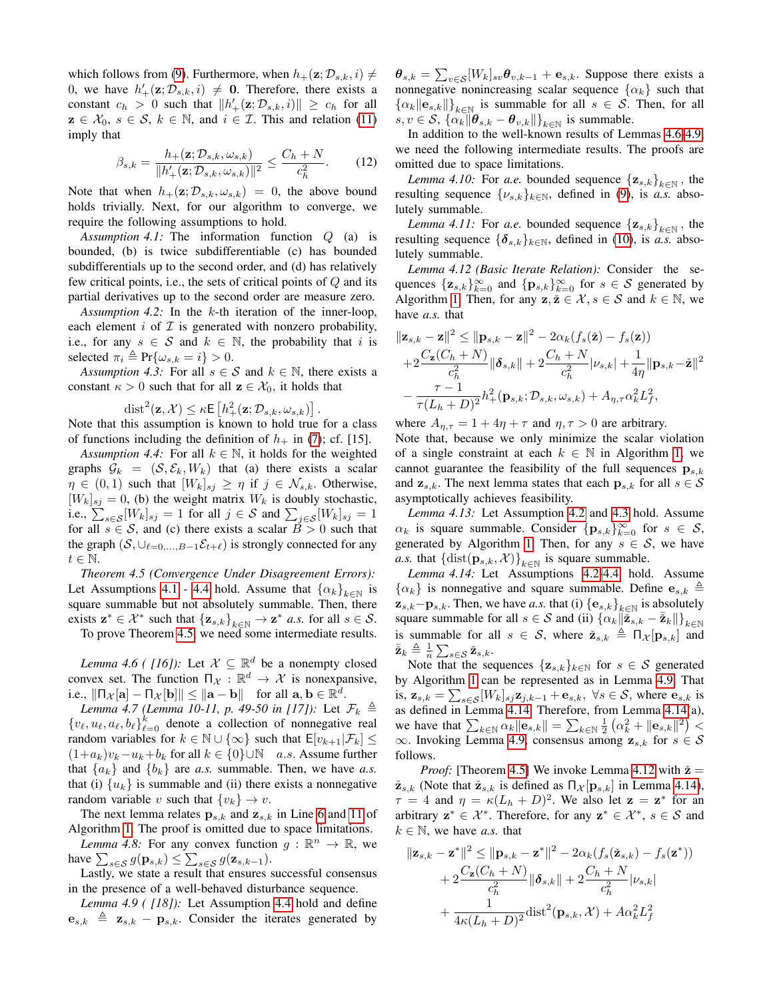which follows from [\(9\)](#page-2-10). Furthermore, when  $h_+(\mathbf{z}; \mathcal{D}_{s,k}, i) \neq$ 0, we have  $h'_{+}(\mathbf{z}; \mathcal{D}_{s,k}, i) \neq \mathbf{0}$ . Therefore, there exists a constant  $c_h > 0$  such that  $||h'_+(\mathbf{z}; \mathcal{D}_{s,k}, i)|| \geq c_h$  for all  $z \in \mathcal{X}_0, s \in \mathcal{S}, k \in \mathbb{N}$ , and  $i \in \mathcal{I}$ . This and relation [\(11\)](#page-2-11) imply that

$$
\beta_{s,k} = \frac{h_+(\mathbf{z}; \mathcal{D}_{s,k}, \omega_{s,k})}{\|h'_+(\mathbf{z}; \mathcal{D}_{s,k}, \omega_{s,k})\|^2} \le \frac{C_h + N}{c_h^2}.
$$
 (12)

Note that when  $h_+(\mathbf{z}; \mathcal{D}_{s,k}, \omega_{s,k}) = 0$ , the above bound holds trivially. Next, for our algorithm to converge, we require the following assumptions to hold.

<span id="page-3-0"></span>*Assumption 4.1:* The information function Q (a) is bounded, (b) is twice subdifferentiable (c) has bounded subdifferentials up to the second order, and (d) has relatively few critical points, i.e., the sets of critical points of Q and its partial derivatives up to the second order are measure zero.

<span id="page-3-5"></span>*Assumption 4.2:* In the k-th iteration of the inner-loop, each element  $i$  of  $\mathcal I$  is generated with nonzero probability, i.e., for any  $s \in S$  and  $k \in \mathbb{N}$ , the probability that i is selected  $\pi_i \triangleq \Pr{\omega_{s,k} = i} > 0$ .

<span id="page-3-6"></span>*Assumption 4.3:* For all  $s \in S$  and  $k \in \mathbb{N}$ , there exists a constant  $\kappa > 0$  such that for all  $z \in \mathcal{X}_0$ , it holds that

$$
\operatorname{dist}^2(\mathbf{z}, \mathcal{X}) \leq \kappa \mathsf{E}\left[h_+^2(\mathbf{z}; \mathcal{D}_{s,k}, \omega_{s,k})\right].
$$

Note that this assumption is known to hold true for a class of functions including the definition of  $h_{+}$  in [\(7\)](#page-2-12); cf. [15].

*Assumption 4.4:* For all  $k \in \mathbb{N}$ , it holds for the weighted graphs  $\mathcal{G}_k = (\mathcal{S}, \mathcal{E}_k, W_k)$  that (a) there exists a scalar  $\eta \in (0,1)$  such that  $[W_k]_{sj} \geq \eta$  if  $j \in \mathcal{N}_{s,k}$ . Otherwise,  $[W_k]_{sj} = 0$ , (b) the weight matrix  $W_k$  is doubly stochastic, i.e.,  $\sum_{s \in \mathcal{S}} [W_k]_{sj} = 1$  for all  $j \in \mathcal{S}$  and  $\sum_{j \in \mathcal{S}} [W_k]_{sj} = 1$ for all  $s \in S$ , and (c) there exists a scalar  $\tilde{B} > 0$  such that the graph  $(S, \cup_{\ell=0,...,B-1}E_{t+\ell})$  is strongly connected for any  $t \in \mathbb{N}$ .

<span id="page-3-2"></span>*Theorem 4.5 (Convergence Under Disagreement Errors):* Let Assumptions [4.1](#page-3-0) - [4.4](#page-3-1) hold. Assume that  $\{\alpha_k\}_{k\in\mathbb{N}}$  is square summable but not absolutely summable. Then, there exists  $\mathbf{z}^* \in \mathcal{X}^*$  such that  $\{\mathbf{z}_{s,k}\}_{k \in \mathbb{N}} \to \mathbf{z}^*$  *a.s.* for all  $s \in \mathcal{S}$ . To prove Theorem [4.5,](#page-3-2) we need some intermediate results.

<span id="page-3-3"></span>*Lemma 4.6 ( [16])*: Let  $\mathcal{X} \subseteq \mathbb{R}^d$  be a nonempty closed convex set. The function  $\Pi_{\mathcal{X}} : \mathbb{R}^d \to \mathcal{X}$  is nonexpansive, i.e.,  $\|\Pi_{\mathcal{X}}[\mathbf{a}] - \Pi_{\mathcal{X}}[\mathbf{b}]\| \leq \|\mathbf{a} - \mathbf{b}\|$  for all  $\mathbf{a}, \mathbf{b} \in \mathbb{R}^d$ .

<span id="page-3-10"></span>*Lemma 4.7 (Lemma 10-11, p. 49-50 in [17]):* Let  $\mathcal{F}_k \triangleq$  $\{v_{\ell}, u_{\ell}, a_{\ell}, b_{\ell}\}_{\ell=0}^k$  denote a collection of nonnegative real random variables for  $k \in \mathbb{N} \cup \{\infty\}$  such that  $E[v_{k+1} | \mathcal{F}_k] \leq$  $(1+a_k)v_k-u_k+b_k$  for all  $k \in \{0\} \cup \mathbb{N}$  a.s. Assume further that  ${a_k}$  and  ${b_k}$  are *a.s.* summable. Then, we have *a.s.* that (i)  $\{u_k\}$  is summable and (ii) there exists a nonnegative random variable v such that  $\{v_k\} \rightarrow v$ .

The next lemma relates  $\mathbf{p}_{s,k}$  and  $\mathbf{z}_{s,k}$  in Line [6](#page-2-13) and [11](#page-2-7) of Algorithm [1.](#page-2-3) The proof is omitted due to space limitations.

*Lemma 4.8:* For any convex function  $g : \mathbb{R}^n \to \mathbb{R}$ , we have  $\sum_{s \in \mathcal{S}} g(\mathbf{p}_{s,k}) \leq \sum_{s \in \mathcal{S}} g(\mathbf{z}_{s,k-1}).$ 

Lastly, we state a result that ensures successful consensus in the presence of a well-behaved disturbance sequence.

*Lemma 4.9 ( [18]):* Let Assumption [4.4](#page-3-1) hold and define  ${\bf e}_{s,k} \triangleq {\bf z}_{s,k} - {\bf p}_{s,k}$ . Consider the iterates generated by

 $\boldsymbol{\theta}_{s,k} = \sum_{v \in \mathcal{S}} [W_k]_{sv} \boldsymbol{\theta}_{v,k-1} + \mathbf{e}_{s,k}$ . Suppose there exists a nonnegative nonincreasing scalar sequence  $\{\alpha_k\}$  such that  ${\{\alpha_k \|\mathbf{e}_{s,k}\| \}}_{k\in\mathbb{N}}$  is summable for all  $s \in \mathcal{S}$ . Then, for all  $s, v \in S, \{\alpha_k \|\theta_{s,k} - \theta_{v,k}\|\}_{k \in \mathbb{N}}$  is summable.

In addition to the well-known results of Lemmas [4.6-](#page-3-3)[4.9,](#page-3-4) we need the following intermediate results. The proofs are omitted due to space limitations.

*Lemma 4.10:* For *a.e.* bounded sequence  ${\{\mathbf{z}_{s,k}\}}_{k\in\mathbb{N}}$ , the resulting sequence  $\{\nu_{s,k}\}_{k\in\mathbb{N}}$ , defined in [\(9\)](#page-2-10), is *a.s.* absolutely summable.

*Lemma 4.11:* For *a.e.* bounded sequence  ${\mathbf{z}_{s,k}}_{k \in \mathbb{N}}$ , the resulting sequence  $\{\delta_{s,k}\}_k \in \mathbb{N}$ , defined in [\(10\)](#page-2-9), is *a.s.* absolutely summable.

<span id="page-3-8"></span>*Lemma 4.12 (Basic Iterate Relation):* Consider the sequences  $\{z_{s,k}\}_{k=0}^{\infty}$  and  $\{p_{s,k}\}_{k=0}^{\infty}$  for  $s \in S$  generated by Algorithm [1.](#page-2-3) Then, for any  $z, \check{z} \in \mathcal{X}, s \in \mathcal{S}$  and  $k \in \mathbb{N}$ , we have *a.s.* that

$$
\|\mathbf{z}_{s,k} - \mathbf{z}\|^2 \leq \|\mathbf{p}_{s,k} - \mathbf{z}\|^2 - 2\alpha_k (f_s(\tilde{\mathbf{z}}) - f_s(\mathbf{z})) + 2\frac{C_{\mathbf{z}}(C_h + N)}{c_h^2} \|\boldsymbol{\delta}_{s,k}\| + 2\frac{C_h + N}{c_h^2} |\nu_{s,k}| + \frac{1}{4\eta} \|\mathbf{p}_{s,k} - \tilde{\mathbf{z}}\|^2 - \frac{\tau - 1}{\tau (L_h + D)^2} h_+^2(\mathbf{p}_{s,k}; \mathcal{D}_{s,k}, \omega_{s,k}) + A_{\eta, \tau} \alpha_k^2 L_f^2,
$$

where  $A_{n,\tau} = 1 + 4\eta + \tau$  and  $\eta, \tau > 0$  are arbitrary.

<span id="page-3-1"></span>Note that, because we only minimize the scalar violation of a single constraint at each  $k \in \mathbb{N}$  in Algorithm [1,](#page-2-3) we cannot guarantee the feasibility of the full sequences  $\mathbf{p}_{s,k}$ and  $\mathbf{z}_{s,k}$ . The next lemma states that each  $\mathbf{p}_{s,k}$  for all  $s \in \mathcal{S}$ asymptotically achieves feasibility.

<span id="page-3-11"></span>*Lemma 4.13:* Let Assumption [4.2](#page-3-5) and [4.3](#page-3-6) hold. Assume  $\alpha_k$  is square summable. Consider  $\{p_{s,k}\}_{k=0}^{\infty}$  for  $s \in S$ , generated by Algorithm [1.](#page-2-3) Then, for any  $s \in S$ , we have *a.s.* that  ${\lbrace \text{dist}(\mathbf{p}_{s,k}, \mathcal{X}) \rbrace}_{k \in \mathbb{N}}$  is square summable.

<span id="page-3-7"></span>*Lemma 4.14:* Let Assumptions [4.2-](#page-3-5)[4.4](#page-3-1) hold. Assume  $\{\alpha_k\}$  is nonnegative and square summable. Define  ${\bf e}_{s,k} \triangleq$  $\mathbf{z}_{s,k} - \mathbf{p}_{s,k}$ . Then, we have *a.s.* that (i)  $\{\mathbf{e}_{s,k}\}_{k\in\mathbb{N}}$  is absolutely square summable for all  $s \in S$  and (ii)  $\{\alpha_k \|\tilde{\mathbf{z}}_{s,k} - \tilde{\mathbf{z}}_k\| \}_{k \in \mathbb{N}}$ is summable for all  $s \in S$ , where  $\check{\mathbf{z}}_{s,k} \triangleq \Pi_{\mathcal{X}}[\mathbf{p}_{s,k}]$  and  $\bar{\check{\mathbf{z}}}_k \triangleq \frac{1}{n} \sum_{s \in \mathcal{S}} \check{\mathbf{z}}_{s,k}.$ 

Note that the sequences  $\{z_{s,k}\}_{k\in\mathbb{N}}$  for  $s \in \mathcal{S}$  generated by Algorithm [1](#page-2-3) can be represented as in Lemma [4.9.](#page-3-4) That is,  $\mathbf{z}_{s,k} = \sum_{s \in \mathcal{S}} [W_k]_{sj} \mathbf{z}_{j,k-1} + \mathbf{e}_{s,k}, \ \forall s \in \mathcal{S}, \text{ where } \mathbf{e}_{s,k} \text{ is}$ as defined in Lemma [4.14.](#page-3-7) Therefore, from Lemma [4.14\(](#page-3-7)a), we have that  $\sum_{k \in \mathbb{N}} \alpha_k ||\mathbf{e}_{s,k}|| = \sum_{k \in \mathbb{N}} \frac{1}{2} (\alpha_k^2 + ||\mathbf{e}_{s,k}||^2)$ ∞. Invoking Lemma [4.9,](#page-3-4) consensus among  $z_{s,k}$  for  $s \in S$ follows.

*Proof:* [Theorem [4.5\]](#page-3-2) We invoke Lemma [4.12](#page-3-8) with  $\check{z}$  =  $\check{\mathbf{z}}_{s,k}$  (Note that  $\check{\mathbf{z}}_{s,k}$  is defined as  $\prod_{\mathcal{X}} [\mathbf{p}_{s,k}]$  in Lemma [4.14\)](#page-3-7),  $\tau = 4$  and  $\eta = \kappa (L_h + D)^2$ . We also let  $\mathbf{z} = \mathbf{z}^*$  for an arbitrary  $z^* \in \mathcal{X}^*$ . Therefore, for any  $z^* \in \mathcal{X}^*$ ,  $s \in \mathcal{S}$  and  $k \in \mathbb{N}$ , we have *a.s.* that

<span id="page-3-9"></span><span id="page-3-4"></span>
$$
\|\mathbf{z}_{s,k} - \mathbf{z}^*\|^2 \le \|\mathbf{p}_{s,k} - \mathbf{z}^*\|^2 - 2\alpha_k (f_s(\check{\mathbf{z}}_{s,k}) - f_s(\mathbf{z}^*))
$$
  
+ 
$$
2\frac{C_{\mathbf{z}}(C_h + N)}{c_h^2} \|\boldsymbol{\delta}_{s,k}\| + 2\frac{C_h + N}{c_h^2} |\nu_{s,k}|
$$
  
+ 
$$
\frac{1}{4\kappa (L_h + D)^2} \text{dist}^2(\mathbf{p}_{s,k}, \mathcal{X}) + A\alpha_k^2 L_f^2
$$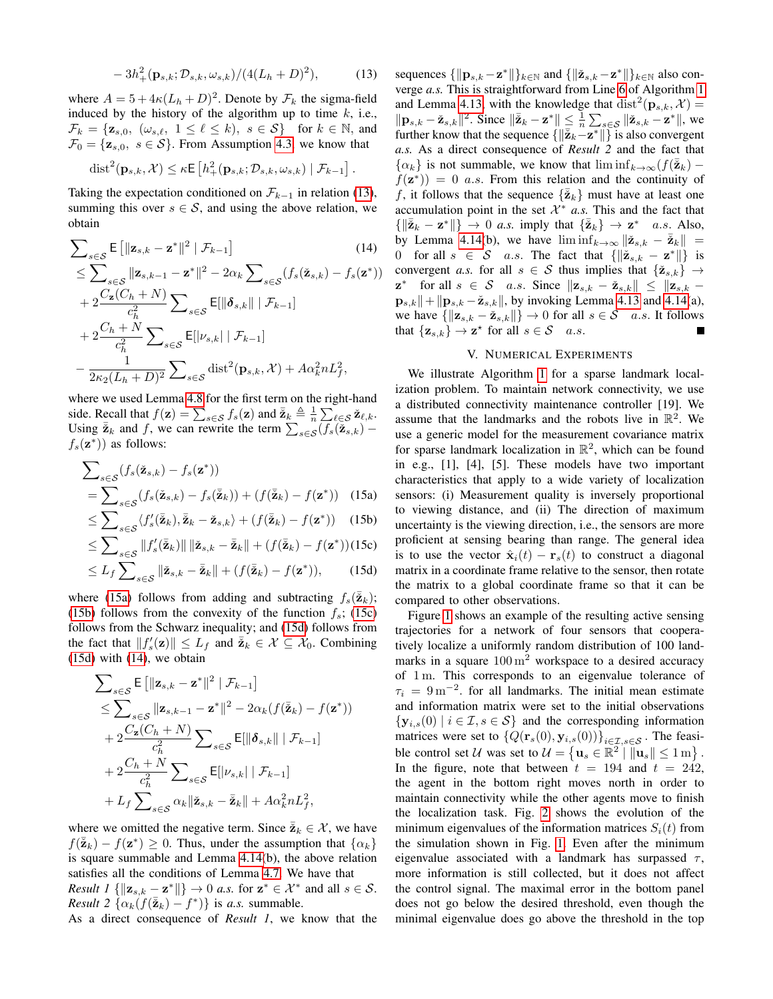$$
-3h_+^2(\mathbf{p}_{s,k}; \mathcal{D}_{s,k}, \omega_{s,k})/(4(L_h+D)^2), \tag{13}
$$

where  $A = 5 + 4\kappa (L_h + D)^2$ . Denote by  $\mathcal{F}_k$  the sigma-field induced by the history of the algorithm up to time  $k$ , i.e.,  $\mathcal{F}_k = \{ \mathbf{z}_{s,0}, \ (\omega_{s,\ell}, \ 1 \leq \ell \leq k), \ s \in \mathcal{S} \} \text{ for } k \in \mathbb{N}, \text{ and}$  $\mathcal{F}_0 = {\mathbf{z}_{s,0}, s \in \mathcal{S}}$ . From Assumption [4.3,](#page-3-6) we know that

$$
\text{dist}^{2}(\mathbf{p}_{s,k}, \mathcal{X}) \leq \kappa \mathsf{E}\left[h_{+}^{2}(\mathbf{p}_{s,k}; \mathcal{D}_{s,k}, \omega_{s,k}) \mid \mathcal{F}_{k-1}\right].
$$

Taking the expectation conditioned on  $\mathcal{F}_{k-1}$  in relation [\(13\)](#page-4-1), summing this over  $s \in \mathcal{S}$ , and using the above relation, we obtain

$$
\sum_{s \in \mathcal{S}} \mathsf{E} \left[ \|\mathbf{z}_{s,k} - \mathbf{z}^*\|^2 \mid \mathcal{F}_{k-1} \right] \tag{14}
$$

$$
\leq \sum_{s\in\mathcal{S}} \|\mathbf{z}_{s,k-1} - \mathbf{z}^*\|^2 - 2\alpha_k \sum_{s\in\mathcal{S}} (f_s(\check{\mathbf{z}}_{s,k}) - f_s(\mathbf{z}^*))
$$
  
+  $2\frac{C_{\mathbf{z}}(C_h + N)}{c_h^2} \sum_{s\in\mathcal{S}} \mathsf{E}[\|\boldsymbol{\delta}_{s,k}\| \mid \mathcal{F}_{k-1}]$   
+  $2\frac{C_h + N}{c_h^2} \sum_{s\in\mathcal{S}} \mathsf{E}[\nu_{s,k} \mid \mathcal{F}_{k-1}]$   
-  $\frac{1}{2\kappa_2(L_h + D)^2} \sum_{s\in\mathcal{S}} \text{dist}^2(\mathbf{p}_{s,k}, \mathcal{X}) + A\alpha_k^2 n L_f^2,$ 

where we used Lemma [4.8](#page-3-9) for the first term on the right-hand side. Recall that  $f(\mathbf{z}) = \sum_{s \in \mathcal{S}} f_s(\mathbf{z})$  and  $\overline{\mathbf{z}}_k \triangleq \frac{1}{n} \sum_{\ell \in \mathcal{S}} \mathbf{z}_{\ell,k}$ . Using  $\bar{z}_k$  and f, we can rewrite the term  $\sum_{s \in \mathcal{S}} \widetilde{(f_s(\mathbf{z}_{s,k})}$  $f_s(\mathbf{z}^*)$  as follows:

$$
\sum_{s \in \mathcal{S}} (f_s(\check{\mathbf{z}}_{s,k}) - f_s(\mathbf{z}^*))
$$
  
= 
$$
\sum_{s \in \mathcal{S}} (f_s(\check{\mathbf{z}}_{s,k}) - f_s(\check{\mathbf{z}}_k)) + (f(\check{\mathbf{z}}_k) - f(\mathbf{z}^*))
$$
 (15a)

$$
\leq \sum_{s \in \mathcal{S}} \langle f'_s(\tilde{\mathbf{z}}_k), \tilde{\mathbf{z}}_k - \check{\mathbf{z}}_{s,k} \rangle + (f(\tilde{\mathbf{z}}_k) - f(\mathbf{z}^*)) \quad (15b)
$$

$$
\leq \sum_{s \in \mathcal{S}} \|f_s'(\tilde{\mathbf{z}}_k)\| \|\tilde{\mathbf{z}}_{s,k} - \tilde{\mathbf{z}}_k\| + (f(\tilde{\mathbf{z}}_k) - f(\mathbf{z}^*)) (15c)
$$

$$
\leq L_f \sum_{s \in \mathcal{S}} \|\check{\mathbf{z}}_{s,k} - \check{\mathbf{z}}_k\| + (f(\check{\mathbf{z}}_k) - f(\mathbf{z}^*)),\tag{15d}
$$

where [\(15a\)](#page-4-2) follows from adding and subtracting  $f_s(\bar{z}_k)$ ; [\(15b\)](#page-4-3) follows from the convexity of the function  $f_s$ ; [\(15c\)](#page-4-4) follows from the Schwarz inequality; and [\(15d\)](#page-4-5) follows from the fact that  $||f_s'(z)|| \leq L_f$  and  $\overline{z}_k \in \mathcal{X} \subseteq \mathcal{X}_0$ . Combining [\(15d\)](#page-4-5) with [\(14\)](#page-4-6), we obtain

$$
\sum_{s \in \mathcal{S}} \mathsf{E} \left[ \|\mathbf{z}_{s,k} - \mathbf{z}^*\|^2 \mid \mathcal{F}_{k-1} \right] \n\leq \sum_{s \in \mathcal{S}} \|\mathbf{z}_{s,k-1} - \mathbf{z}^*\|^2 - 2\alpha_k (f(\bar{\mathbf{z}}_k) - f(\mathbf{z}^*)) \n+ 2 \frac{C_{\mathbf{z}}(C_h + N)}{c_h^2} \sum_{s \in \mathcal{S}} \mathsf{E}[\|\boldsymbol{\delta}_{s,k}\| \mid \mathcal{F}_{k-1}] \n+ 2 \frac{C_h + N}{c_h^2} \sum_{s \in \mathcal{S}} \mathsf{E}[\nu_{s,k} \mid \mathcal{F}_{k-1}] \n+ L_f \sum_{s \in \mathcal{S}} \alpha_k \|\check{\mathbf{z}}_{s,k} - \bar{\mathbf{z}}_k\| + A \alpha_k^2 n L_f^2,
$$

where we omitted the negative term. Since  $\bar{\mathbf{z}}_k \in \mathcal{X}$ , we have  $f(\bar{\mathbf{z}}_k) - f(\mathbf{z}^*) \geq 0$ . Thus, under the assumption that  $\{\alpha_k\}$ is square summable and Lemma [4.14\(](#page-3-7)b), the above relation satisfies all the conditions of Lemma [4.7.](#page-3-10) We have that *Result 1* { $||\mathbf{z}_{s,k} - \mathbf{z}^*||$ }  $\rightarrow 0$  *a.s.* for  $\mathbf{z}^* \in \mathcal{X}^*$  and all  $s \in \mathcal{S}$ . *Result* 2  $\{\alpha_k(f(\bar{\mathbf{z}}_k) - f^*)\}$  is *a.s.* summable.

As a direct consequence of *Result 1*, we know that the

<span id="page-4-1"></span>sequences  $\{\|\mathbf{p}_{s,k} - \mathbf{z}^*\|\}_{k\in\mathbb{N}}$  and  $\{\|\check{\mathbf{z}}_{s,k} - \mathbf{z}^*\|\}_{k\in\mathbb{N}}$  also converge *a.s.* This is straightforward from Line [6](#page-2-13) of Algorithm [1](#page-2-3) and Lemma [4.13,](#page-3-11) with the knowledge that  $dist^2(\mathbf{p}_{s,k}, \mathcal{X}) =$  $\|\mathbf{p}_{s,k} - \check{\mathbf{z}}_{s,k}\|^2$ . Since  $\|\check{\mathbf{z}}_k - \mathbf{z}^*\| \leq \frac{1}{n} \sum_{s \in \mathcal{S}} \|\check{\mathbf{z}}_{s,k} - \mathbf{z}^*\|$ , we further know that the sequence  $\{ \|\bar{\mathbf{z}}_k - \mathbf{z}^*\| \}$  is also convergent *a.s.* As a direct consequence of *Result 2* and the fact that  $\{\alpha_k\}$  is not summable, we know that  $\liminf_{k\to\infty} (f(\bar{\mathbf{z}}_k)$  $f(\mathbf{z}^*)$  = 0 *a.s.* From this relation and the continuity of f, it follows that the sequence  $\{\bar{\mathbf{z}}_k\}$  must have at least one accumulation point in the set  $\mathcal{X}^*$  *a.s.* This and the fact that  $\{\|\bar{\check{\mathbf{z}}}_k - \mathbf{z}^*\|\} \to 0$  *a.s.* imply that  $\{\bar{\check{\mathbf{z}}}_k\} \to \mathbf{z}^*$  *a.s.* Also, by Lemma [4.14\(](#page-3-7)b), we have  $\liminf_{k\to\infty} \|\check{\mathbf{z}}_{s,k} - \check{\mathbf{z}}_{k}\|$  = 0 for all  $s \in S$  a.s. The fact that  $\{\|\check{\mathbf{z}}_{s,k} - \mathbf{z}^*\| \}$  is convergent *a.s.* for all  $s \in S$  thus implies that  $\{\check{\mathbf{z}}_{s,k}\}\rightarrow$  $\mathbf{z}^*$  for all  $s \in \mathcal{S}$  a.s. Since  $\|\mathbf{z}_{s,k} - \check{\mathbf{z}}_{s,k}\| \leq \|\mathbf{z}_{s,k} - \mathbf{z}_{s,k}\|$  $\mathbf{p}_{s,k}$  +  $\|\mathbf{p}_{s,k} - \check{\mathbf{z}}_{s,k}\|$ , by invoking Lemma [4.13](#page-3-11) and [4.14\(](#page-3-7)a), we have  $\{\Vert \mathbf{z}_{s,k} - \check{\mathbf{z}}_{s,k} \Vert\} \to 0$  for all  $s \in \mathcal{S}$  a.s. It follows that  $\{z_{s,k}\}\to z^*$  for all  $s\in\mathcal{S}$  a.s.

# V. NUMERICAL EXPERIMENTS

<span id="page-4-6"></span><span id="page-4-2"></span><span id="page-4-0"></span>We illustrate Algorithm [1](#page-2-3) for a sparse landmark localization problem. To maintain network connectivity, we use a distributed connectivity maintenance controller [19]. We assume that the landmarks and the robots live in  $\mathbb{R}^2$ . We use a generic model for the measurement covariance matrix for sparse landmark localization in  $\mathbb{R}^2$ , which can be found in e.g., [1], [4], [5]. These models have two important characteristics that apply to a wide variety of localization sensors: (i) Measurement quality is inversely proportional to viewing distance, and (ii) The direction of maximum uncertainty is the viewing direction, i.e., the sensors are more proficient at sensing bearing than range. The general idea is to use the vector  $\hat{\mathbf{x}}_i(t) - \mathbf{r}_s(t)$  to construct a diagonal matrix in a coordinate frame relative to the sensor, then rotate the matrix to a global coordinate frame so that it can be compared to other observations.

<span id="page-4-5"></span><span id="page-4-4"></span><span id="page-4-3"></span>Figure [1](#page-5-0) shows an example of the resulting active sensing trajectories for a network of four sensors that cooperatively localize a uniformly random distribution of 100 landmarks in a square  $100 \,\mathrm{m}^2$  workspace to a desired accuracy of 1 m. This corresponds to an eigenvalue tolerance of  $\tau_i = 9 \,\mathrm{m}^{-2}$ . for all landmarks. The initial mean estimate and information matrix were set to the initial observations  $\{y_{i,s}(0) | i \in \mathcal{I}, s \in \mathcal{S}\}\$ and the corresponding information matrices were set to  $\{Q(\mathbf{r}_s(0), \mathbf{y}_{i,s}(0))\}_{i\in\mathcal{I}, s\in\mathcal{S}}$ . The feasible control set U was set to  $U = \{ \mathbf{u}_s \in \mathbb{R}^2 \mid ||\mathbf{u}_s|| \le 1 \text{ m} \}$ . In the figure, note that between  $t = 194$  and  $t = 242$ , the agent in the bottom right moves north in order to maintain connectivity while the other agents move to finish the localization task. Fig. [2](#page-5-1) shows the evolution of the minimum eigenvalues of the information matrices  $S_i(t)$  from the simulation shown in Fig. [1.](#page-5-0) Even after the minimum eigenvalue associated with a landmark has surpassed  $\tau$ , more information is still collected, but it does not affect the control signal. The maximal error in the bottom panel does not go below the desired threshold, even though the minimal eigenvalue does go above the threshold in the top